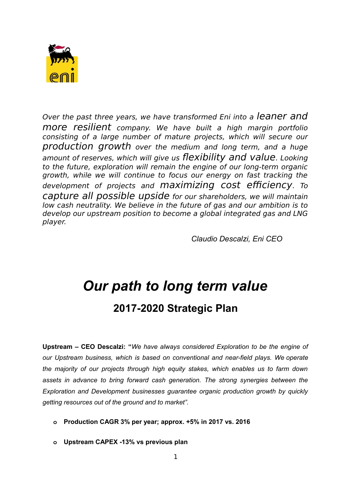

Over the past three years, we have transformed Eni into a leaner and more resilient company. We have built a high margin portfolio consisting of a large number of mature projects, which will secure our production growth over the medium and long term, and a huge amount of reserves, which will give us flexibility and value. Looking to the future, exploration will remain the engine of our long-term organic growth, while we will continue to focus our energy on fast tracking the development of projects and maximizing cost efficiency. To capture all possible upside for our shareholders, we will maintain low cash neutrality. We believe in the future of gas and our ambition is to develop our upstream position to become a global integrated gas and LNG player.

*Claudio Descalzi, Eni CEO*

# *Our path to long term value* **2017-2020 Strategic Plan**

**Upstream – CEO Descalzi: "***We have always considered Exploration to be the engine of our Upstream business, which is based on conventional and near-field plays. We operate the majority of our projects through high equity stakes, which enables us to farm down assets in advance to bring forward cash generation. The strong synergies between the Exploration and Development businesses guarantee organic production growth by quickly getting resources out of the ground and to market".*

- **o Production CAGR 3% per year; approx. +5% in 2017 vs. 2016**
- **o Upstream CAPEX -13% vs previous plan**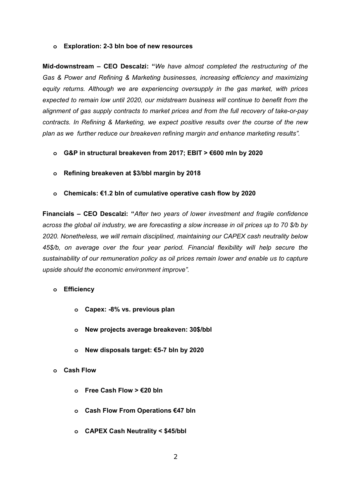#### **o Exploration: 2-3 bln boe of new resources**

**Mid-downstream – CEO Descalzi: "***We have almost completed the restructuring of the Gas & Power and Refining & Marketing businesses, increasing efficiency and maximizing equity returns. Although we are experiencing oversupply in the gas market, with prices expected to remain low until 2020, our midstream business will continue to benefit from the alignment of gas supply contracts to market prices and from the full recovery of take-or-pay contracts. In Refining & Marketing, we expect positive results over the course of the new plan as we further reduce our breakeven refining margin and enhance marketing results".*

- **o G&P in structural breakeven from 2017; EBIT > €600 mln by 2020**
- **o Refining breakeven at \$3/bbl margin by 2018**
- **o Chemicals: €1.2 bln of cumulative operative cash flow by 2020**

**Financials – CEO Descalzi: "***After two years of lower investment and fragile confidence across the global oil industry, we are forecasting a slow increase in oil prices up to 70 \$/b by 2020. Nonetheless, we will remain disciplined, maintaining our CAPEX cash neutrality below 45\$/b, on average over the four year period. Financial flexibility will help secure the sustainability of our remuneration policy as oil prices remain lower and enable us to capture upside should the economic environment improve".* 

- **o Efficiency**
	- **o Capex: -8% vs. previous plan**
	- **o New projects average breakeven: 30\$/bbl**
	- **o New disposals target: €5-7 bln by 2020**
- **o Cash Flow** 
	- **o Free Cash Flow > €20 bln**
	- **o Cash Flow From Operations €47 bln**
	- **o CAPEX Cash Neutrality < \$45/bbl**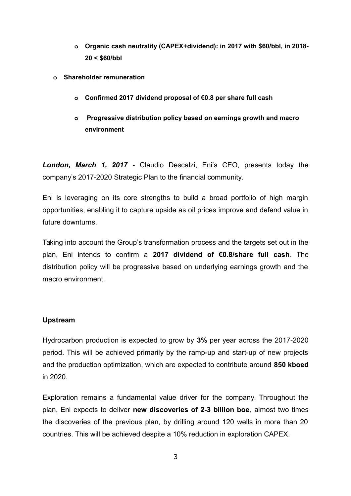- **o Organic cash neutrality (CAPEX+dividend): in 2017 with \$60/bbl, in 2018- 20 < \$60/bbl**
- **o Shareholder remuneration**
	- **o Confirmed 2017 dividend proposal of €0.8 per share full cash**
	- **o Progressive distribution policy based on earnings growth and macro environment**

*London, March 1, 2017* - Claudio Descalzi, Eni's CEO, presents today the company's 2017-2020 Strategic Plan to the financial community.

Eni is leveraging on its core strengths to build a broad portfolio of high margin opportunities, enabling it to capture upside as oil prices improve and defend value in future downturns.

Taking into account the Group's transformation process and the targets set out in the plan, Eni intends to confirm a **2017 dividend of €0.8/share full cash**. The distribution policy will be progressive based on underlying earnings growth and the macro environment.

# **Upstream**

Hydrocarbon production is expected to grow by **3%** per year across the 2017-2020 period. This will be achieved primarily by the ramp-up and start-up of new projects and the production optimization, which are expected to contribute around **850 kboed** in 2020.

Exploration remains a fundamental value driver for the company. Throughout the plan, Eni expects to deliver **new discoveries of 2-3 billion boe**, almost two times the discoveries of the previous plan, by drilling around 120 wells in more than 20 countries. This will be achieved despite a 10% reduction in exploration CAPEX.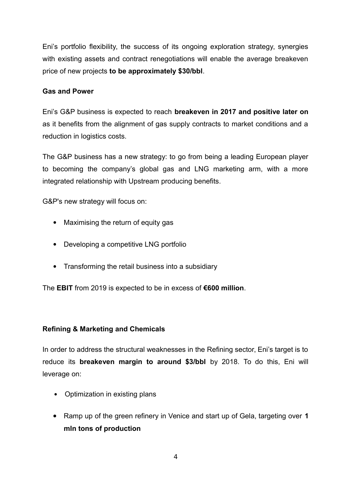Eni's portfolio flexibility, the success of its ongoing exploration strategy, synergies with existing assets and contract renegotiations will enable the average breakeven price of new projects **to be approximately \$30/bbl**.

## **Gas and Power**

Eni's G&P business is expected to reach **breakeven in 2017 and positive later on** as it benefits from the alignment of gas supply contracts to market conditions and a reduction in logistics costs.

The G&P business has a new strategy: to go from being a leading European player to becoming the company's global gas and LNG marketing arm, with a more integrated relationship with Upstream producing benefits.

G&P's new strategy will focus on:

- Maximising the return of equity gas
- Developing a competitive LNG portfolio
- Transforming the retail business into a subsidiary

The **EBIT** from 2019 is expected to be in excess of **€600 million**.

### **Refining & Marketing and Chemicals**

In order to address the structural weaknesses in the Refining sector, Eni's target is to reduce its **breakeven margin to around \$3/bbl** by 2018. To do this, Eni will leverage on:

- Optimization in existing plans
- Ramp up of the green refinery in Venice and start up of Gela, targeting over **1 mln tons of production**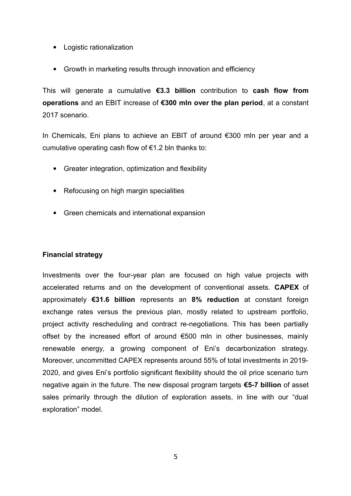- Logistic rationalization
- Growth in marketing results through innovation and efficiency

This will generate a cumulative **€3.3 billion** contribution to **cash flow from operations** and an EBIT increase of **€300 mln over the plan period**, at a constant 2017 scenario.

In Chemicals, Eni plans to achieve an EBIT of around €300 mln per year and a cumulative operating cash flow of €1.2 bln thanks to:

- Greater integration, optimization and flexibility
- Refocusing on high margin specialities
- Green chemicals and international expansion

# **Financial strategy**

Investments over the four-year plan are focused on high value projects with accelerated returns and on the development of conventional assets. **CAPEX** of approximately **€31.6 billion** represents an **8% reduction** at constant foreign exchange rates versus the previous plan, mostly related to upstream portfolio, project activity rescheduling and contract re-negotiations. This has been partially offset by the increased effort of around €500 mln in other businesses, mainly renewable energy, a growing component of Eni's decarbonization strategy. Moreover, uncommitted CAPEX represents around 55% of total investments in 2019- 2020, and gives Eni's portfolio significant flexibility should the oil price scenario turn negative again in the future. The new disposal program targets **€5-7 billion** of asset sales primarily through the dilution of exploration assets, in line with our "dual exploration" model.